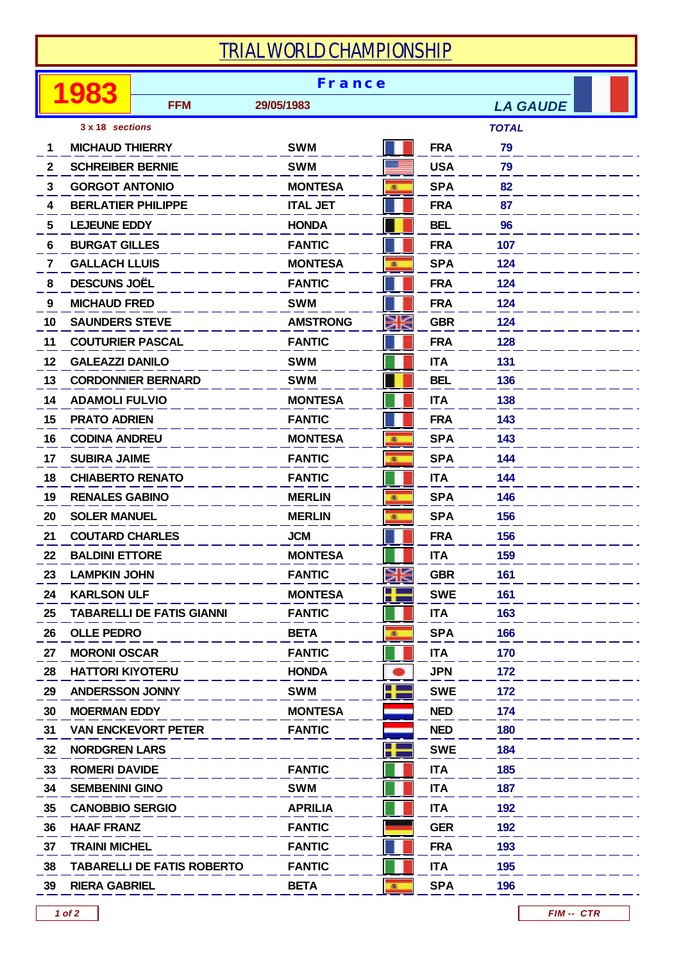## *TRIAL WORLD CHAMPIONSHIP*

|    |                           | <b>France</b>                     |                 |              |            |                 |  |  |
|----|---------------------------|-----------------------------------|-----------------|--------------|------------|-----------------|--|--|
|    |                           | <b>FFM</b>                        | 29/05/1983      |              |            | <b>LA GAUDE</b> |  |  |
|    | 3 x 18 sections           |                                   |                 |              |            | <b>TOTAL</b>    |  |  |
| 1  | <b>MICHAUD THIERRY</b>    |                                   | <b>SWM</b>      |              | <b>FRA</b> | 79              |  |  |
| 2  | <b>SCHREIBER BERNIE</b>   |                                   | <b>SWM</b>      |              | <b>USA</b> | 79              |  |  |
| 3  | <b>GORGOT ANTONIO</b>     |                                   | <b>MONTESA</b>  | 廊            | <b>SPA</b> | 82              |  |  |
| 4  | <b>BERLATIER PHILIPPE</b> |                                   | <b>ITAL JET</b> |              | <b>FRA</b> | 87              |  |  |
| 5  | <b>LEJEUNE EDDY</b>       |                                   | <b>HONDA</b>    |              | <b>BEL</b> | 96              |  |  |
| 6  | <b>BURGAT GILLES</b>      |                                   | <b>FANTIC</b>   |              | <b>FRA</b> | 107             |  |  |
| 7  | <b>GALLACH LLUIS</b>      |                                   | <b>MONTESA</b>  | 風            | <b>SPA</b> | 124             |  |  |
| 8  | <b>DESCUNS JOËL</b>       |                                   | <b>FANTIC</b>   |              | <b>FRA</b> | 124             |  |  |
| 9  | <b>MICHAUD FRED</b>       |                                   | <b>SWM</b>      |              | <b>FRA</b> | 124             |  |  |
| 10 | <b>SAUNDERS STEVE</b>     |                                   | <b>AMSTRONG</b> |              | <b>GBR</b> | 124             |  |  |
| 11 |                           | <b>COUTURIER PASCAL</b>           | <b>FANTIC</b>   |              | <b>FRA</b> | 128             |  |  |
| 12 | <b>GALEAZZI DANILO</b>    |                                   | <b>SWM</b>      |              | <b>ITA</b> | 131             |  |  |
| 13 |                           | <b>CORDONNIER BERNARD</b>         | <b>SWM</b>      |              | <b>BEL</b> | 136             |  |  |
| 14 | <b>ADAMOLI FULVIO</b>     |                                   | <b>MONTESA</b>  |              | <b>ITA</b> | 138             |  |  |
| 15 | <b>PRATO ADRIEN</b>       |                                   | <b>FANTIC</b>   |              | <b>FRA</b> | 143             |  |  |
| 16 | <b>CODINA ANDREU</b>      |                                   | <b>MONTESA</b>  | 風            | <b>SPA</b> | 143             |  |  |
| 17 | <b>SUBIRA JAIME</b>       |                                   | <b>FANTIC</b>   | 画            | <b>SPA</b> | 144             |  |  |
| 18 | <b>CHIABERTO RENATO</b>   |                                   | <b>FANTIC</b>   |              | <b>ITA</b> | 144             |  |  |
| 19 | <b>RENALES GABINO</b>     |                                   | <b>MERLIN</b>   | 图            | <b>SPA</b> | 146             |  |  |
| 20 | <b>SOLER MANUEL</b>       |                                   | <b>MERLIN</b>   | 風            | <b>SPA</b> | 156             |  |  |
| 21 | <b>COUTARD CHARLES</b>    |                                   | <b>JCM</b>      |              | <b>FRA</b> | 156             |  |  |
| 22 | <b>BALDINI ETTORE</b>     |                                   | <b>MONTESA</b>  |              | <b>ITA</b> | 159             |  |  |
| 23 | <b>LAMPKIN JOHN</b>       |                                   | <b>FANTIC</b>   | Ж            | <b>GBR</b> | 161             |  |  |
| 24 | <b>KARLSON ULF</b>        |                                   | <b>MONTESA</b>  | ╬            | <b>SWE</b> | 161             |  |  |
| 25 |                           | <b>TABARELLI DE FATIS GIANNI</b>  | <b>FANTIC</b>   |              | <b>ITA</b> | 163             |  |  |
| 26 | <b>OLLE PEDRO</b>         |                                   | <b>BETA</b>     | 風            | <b>SPA</b> | 166             |  |  |
| 27 | <b>MORONI OSCAR</b>       |                                   | <b>FANTIC</b>   |              | <b>ITA</b> | 170             |  |  |
| 28 | <b>HATTORI KIYOTERU</b>   |                                   | <b>HONDA</b>    |              | <b>JPN</b> | 172             |  |  |
| 29 | <b>ANDERSSON JONNY</b>    |                                   | <b>SWM</b>      | ╉            | <b>SWE</b> | 172             |  |  |
| 30 | <b>MOERMAN EDDY</b>       |                                   | <b>MONTESA</b>  |              | <b>NED</b> | 174             |  |  |
| 31 |                           | <b>VAN ENCKEVORT PETER</b>        | <b>FANTIC</b>   |              | <b>NED</b> | 180             |  |  |
| 32 | <b>NORDGREN LARS</b>      |                                   |                 |              | <b>SWE</b> | 184             |  |  |
| 33 | <b>ROMERI DAVIDE</b>      |                                   | <b>FANTIC</b>   |              | <b>ITA</b> | 185             |  |  |
| 34 | <b>SEMBENINI GINO</b>     |                                   | <b>SWM</b>      |              | <b>ITA</b> | 187             |  |  |
| 35 | <b>CANOBBIO SERGIO</b>    |                                   | <b>APRILIA</b>  |              | <b>ITA</b> | 192             |  |  |
| 36 | <b>HAAF FRANZ</b>         |                                   | <b>FANTIC</b>   |              | <b>GER</b> | 192             |  |  |
| 37 | <b>TRAINI MICHEL</b>      |                                   | <b>FANTIC</b>   |              | <b>FRA</b> | 193             |  |  |
| 38 |                           | <b>TABARELLI DE FATIS ROBERTO</b> | <b>FANTIC</b>   |              | <b>ITA</b> | 195             |  |  |
| 39 | <b>RIERA GABRIEL</b>      |                                   | <b>BETA</b>     | $\mathbf{B}$ | <b>SPA</b> | 196             |  |  |